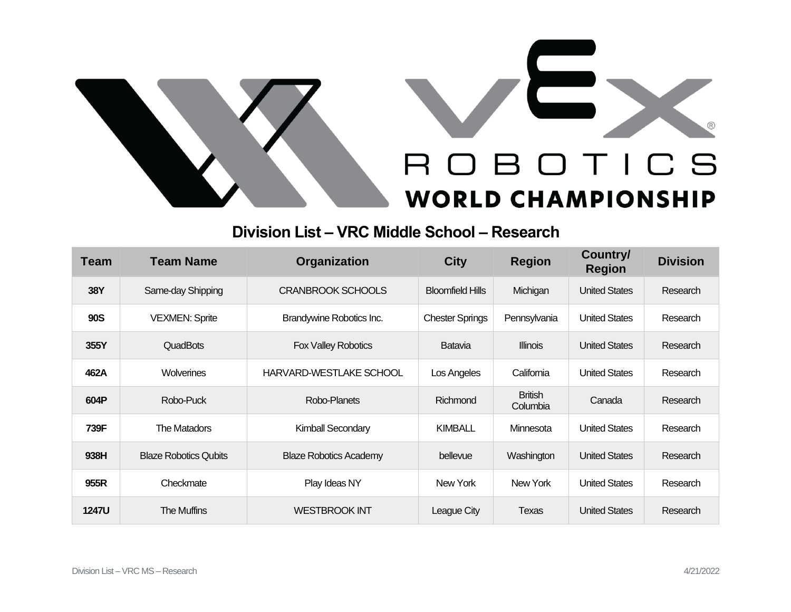



## **Division List – VRC Middle School – Research**

| <b>Team</b>  | <b>Team Name</b>             | Organization                  | <b>City</b>             | <b>Region</b>              | Country/<br><b>Region</b> | <b>Division</b> |
|--------------|------------------------------|-------------------------------|-------------------------|----------------------------|---------------------------|-----------------|
| <b>38Y</b>   | Same-day Shipping            | <b>CRANBROOK SCHOOLS</b>      | <b>Bloomfield Hills</b> | Michigan                   | <b>United States</b>      | Research        |
| <b>90S</b>   | <b>VEXMEN: Sprite</b>        | Brandywine Robotics Inc.      | <b>Chester Springs</b>  | Pennsylvania               | <b>United States</b>      | Research        |
| 355Y         | <b>QuadBots</b>              | <b>Fox Valley Robotics</b>    | Batavia                 | <b>Illinois</b>            | <b>United States</b>      | Research        |
| 462A         | Wolverines                   | HARVARD-WESTLAKE SCHOOL       | Los Angeles             | California                 | <b>United States</b>      | Research        |
| 604P         | Robo-Puck                    | Robo-Planets                  | Richmond                | <b>British</b><br>Columbia | Canada                    | Research        |
| 739F         | The Matadors                 | Kimball Secondary             | <b>KIMBALL</b>          | Minnesota                  | <b>United States</b>      | Research        |
| 938H         | <b>Blaze Robotics Qubits</b> | <b>Blaze Robotics Academy</b> | bellevue                | Washington                 | <b>United States</b>      | Research        |
| 955R         | Checkmate                    | Play Ideas NY                 | New York                | New York                   | <b>United States</b>      | Research        |
| <b>1247U</b> | The Muffins                  | <b>WESTBROOK INT</b>          | League City             | Texas                      | <b>United States</b>      | Research        |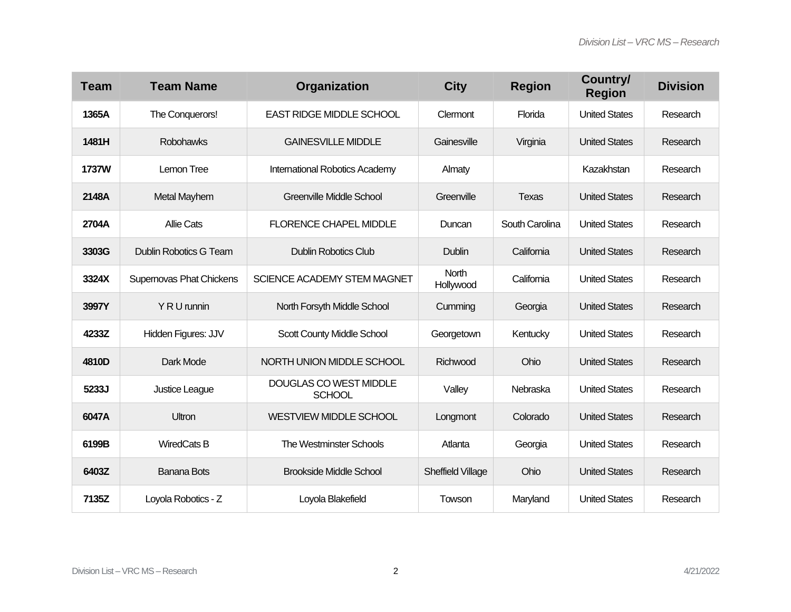| <b>Team</b>  | <b>Team Name</b>         | Organization                            | <b>City</b>        | <b>Region</b>  | Country/<br><b>Region</b> | <b>Division</b> |
|--------------|--------------------------|-----------------------------------------|--------------------|----------------|---------------------------|-----------------|
| 1365A        | The Conquerors!          | <b>EAST RIDGE MIDDLE SCHOOL</b>         | Clermont           | Florida        | <b>United States</b>      | Research        |
| 1481H        | <b>Robohawks</b>         | <b>GAINESVILLE MIDDLE</b>               | Gainesville        | Virginia       | <b>United States</b>      | Research        |
| <b>1737W</b> | Lemon Tree               | International Robotics Academy          | Almaty             |                | Kazakhstan                | Research        |
| 2148A        | Metal Mayhem             | <b>Greenville Middle School</b>         | Greenville         | <b>Texas</b>   | <b>United States</b>      | Research        |
| 2704A        | <b>Allie Cats</b>        | <b>FLORENCE CHAPEL MIDDLE</b>           | Duncan             | South Carolina | <b>United States</b>      | Research        |
| 3303G        | Dublin Robotics G Team   | <b>Dublin Robotics Club</b>             | Dublin             | California     | <b>United States</b>      | Research        |
| 3324X        | Supernovas Phat Chickens | SCIENCE ACADEMY STEM MAGNET             | North<br>Hollywood | California     | <b>United States</b>      | Research        |
| 3997Y        | Y R U runnin             | North Forsyth Middle School             | Cumming            | Georgia        | <b>United States</b>      | Research        |
| 4233Z        | Hidden Figures: JJV      | Scott County Middle School              | Georgetown         | Kentucky       | <b>United States</b>      | Research        |
| 4810D        | Dark Mode                | NORTH UNION MIDDLE SCHOOL               | Richwood           | Ohio           | <b>United States</b>      | Research        |
| 5233J        | Justice League           | DOUGLAS CO WEST MIDDLE<br><b>SCHOOL</b> | Valley             | Nebraska       | <b>United States</b>      | Research        |
| 6047A        | <b>Ultron</b>            | <b>WESTVIEW MIDDLE SCHOOL</b>           | Longmont           | Colorado       | <b>United States</b>      | Research        |
| 6199B        | <b>WiredCats B</b>       | <b>The Westminster Schools</b>          | Atlanta            | Georgia        | <b>United States</b>      | Research        |
| 6403Z        | <b>Banana Bots</b>       | <b>Brookside Middle School</b>          | Sheffield Village  | Ohio           | <b>United States</b>      | Research        |
| 7135Z        | Loyola Robotics - Z      | Loyola Blakefield                       | Towson             | Maryland       | <b>United States</b>      | Research        |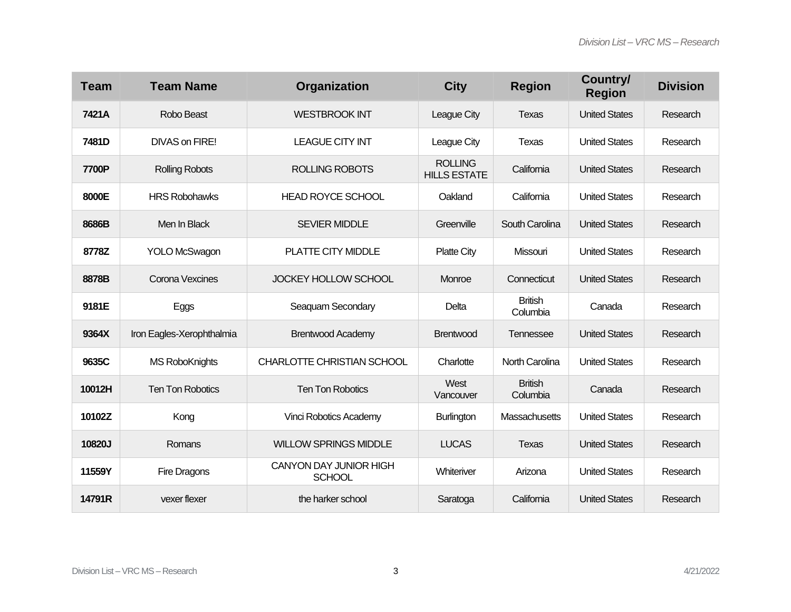| <b>Team</b> | <b>Team Name</b>          | Organization                            | <b>City</b>                           | <b>Region</b>              | Country/<br><b>Region</b> | <b>Division</b> |
|-------------|---------------------------|-----------------------------------------|---------------------------------------|----------------------------|---------------------------|-----------------|
| 7421A       | Robo Beast                | <b>WESTBROOK INT</b>                    | League City                           | Texas                      | <b>United States</b>      | Research        |
| 7481D       | DIVAS on FIRE!            | <b>LEAGUE CITY INT</b>                  | League City                           | <b>Texas</b>               | <b>United States</b>      | Research        |
| 7700P       | <b>Rolling Robots</b>     | <b>ROLLING ROBOTS</b>                   | <b>ROLLING</b><br><b>HILLS ESTATE</b> | California                 | <b>United States</b>      | Research        |
| 8000E       | <b>HRS Robohawks</b>      | <b>HEAD ROYCE SCHOOL</b>                | Oakland                               | California                 | <b>United States</b>      | Research        |
| 8686B       | Men In Black              | <b>SEVIER MIDDLE</b>                    | Greenville                            | South Carolina             | <b>United States</b>      | Research        |
| 8778Z       | <b>YOLO McSwagon</b>      | PLATTE CITY MIDDLE                      | <b>Platte City</b>                    | Missouri                   | <b>United States</b>      | Research        |
| 8878B       | Corona Vexcines           | JOCKEY HOLLOW SCHOOL                    | Monroe                                | Connecticut                | <b>United States</b>      | Research        |
| 9181E       | Eggs                      | Seaquam Secondary                       | Delta                                 | <b>British</b><br>Columbia | Canada                    | Research        |
| 9364X       | Iron Eagles-Xerophthalmia | <b>Brentwood Academy</b>                | <b>Brentwood</b>                      | Tennessee                  | <b>United States</b>      | Research        |
| 9635C       | <b>MS RoboKnights</b>     | CHARLOTTE CHRISTIAN SCHOOL              | Charlotte                             | North Carolina             | <b>United States</b>      | Research        |
| 10012H      | <b>Ten Ton Robotics</b>   | <b>Ten Ton Robotics</b>                 | West<br>Vancouver                     | <b>British</b><br>Columbia | Canada                    | Research        |
| 10102Z      | Kong                      | Vinci Robotics Academy                  | <b>Burlington</b>                     | Massachusetts              | <b>United States</b>      | Research        |
| 10820J      | Romans                    | <b>WILLOW SPRINGS MIDDLE</b>            | <b>LUCAS</b>                          | <b>Texas</b>               | <b>United States</b>      | Research        |
| 11559Y      | Fire Dragons              | CANYON DAY JUNIOR HIGH<br><b>SCHOOL</b> | Whiteriver                            | Arizona                    | <b>United States</b>      | Research        |
| 14791R      | vexer flexer              | the harker school                       | Saratoga                              | California                 | <b>United States</b>      | Research        |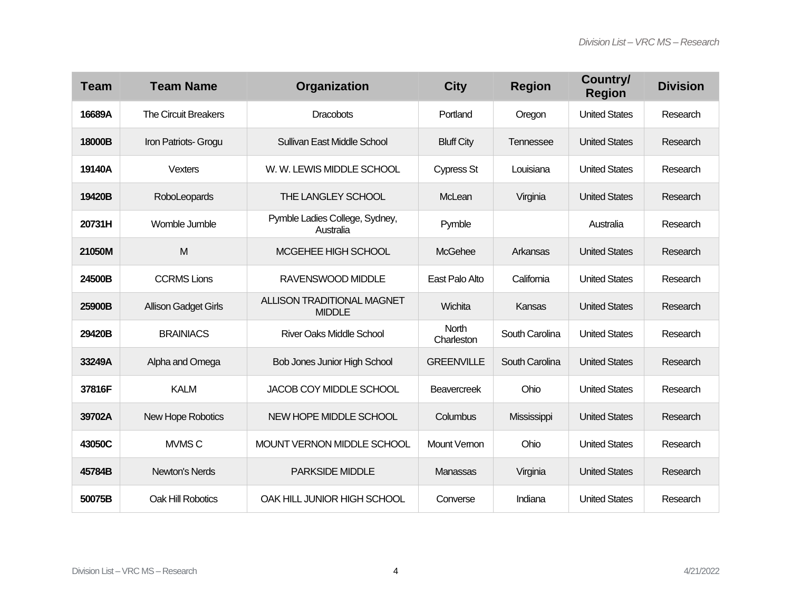| <b>Team</b> | <b>Team Name</b>            | Organization                                | <b>City</b>                | <b>Region</b>  | Country/<br><b>Region</b> | <b>Division</b> |
|-------------|-----------------------------|---------------------------------------------|----------------------------|----------------|---------------------------|-----------------|
| 16689A      | <b>The Circuit Breakers</b> | <b>Dracobots</b>                            | Portland                   | Oregon         | <b>United States</b>      | Research        |
| 18000B      | Iron Patriots- Grogu        | <b>Sullivan East Middle School</b>          | <b>Bluff City</b>          | Tennessee      | <b>United States</b>      | Research        |
| 19140A      | <b>Vexters</b>              | W. W. LEWIS MIDDLE SCHOOL                   | <b>Cypress St</b>          | Louisiana      | <b>United States</b>      | Research        |
| 19420B      | RoboLeopards                | THE LANGLEY SCHOOL                          | McLean                     | Virginia       | <b>United States</b>      | Research        |
| 20731H      | Womble Jumble               | Pymble Ladies College, Sydney,<br>Australia | Pymble                     |                | Australia                 | Research        |
| 21050M      | M                           | MCGEHEE HIGH SCHOOL                         | McGehee                    | Arkansas       | <b>United States</b>      | Research        |
| 24500B      | <b>CCRMS Lions</b>          | RAVENSWOOD MIDDLE                           | East Palo Alto             | California     | <b>United States</b>      | Research        |
| 25900B      | <b>Allison Gadget Girls</b> | ALLISON TRADITIONAL MAGNET<br><b>MIDDLE</b> | Wichita                    | Kansas         | <b>United States</b>      | Research        |
| 29420B      | <b>BRAINIACS</b>            | <b>River Oaks Middle School</b>             | <b>North</b><br>Charleston | South Carolina | <b>United States</b>      | Research        |
| 33249A      | Alpha and Omega             | <b>Bob Jones Junior High School</b>         | <b>GREENVILLE</b>          | South Carolina | <b>United States</b>      | Research        |
| 37816F      | <b>KALM</b>                 | <b>JACOB COY MIDDLE SCHOOL</b>              | <b>Beavercreek</b>         | Ohio           | <b>United States</b>      | Research        |
| 39702A      | New Hope Robotics           | NEW HOPE MIDDLE SCHOOL                      | Columbus                   | Mississippi    | <b>United States</b>      | Research        |
| 43050C      | MVMS <sub>C</sub>           | MOUNT VERNON MIDDLE SCHOOL                  | <b>Mount Vernon</b>        | Ohio           | <b>United States</b>      | Research        |
| 45784B      | Newton's Nerds              | <b>PARKSIDE MIDDLE</b>                      | Manassas                   | Virginia       | <b>United States</b>      | Research        |
| 50075B      | <b>Oak Hill Robotics</b>    | OAK HILL JUNIOR HIGH SCHOOL                 | Converse                   | Indiana        | <b>United States</b>      | Research        |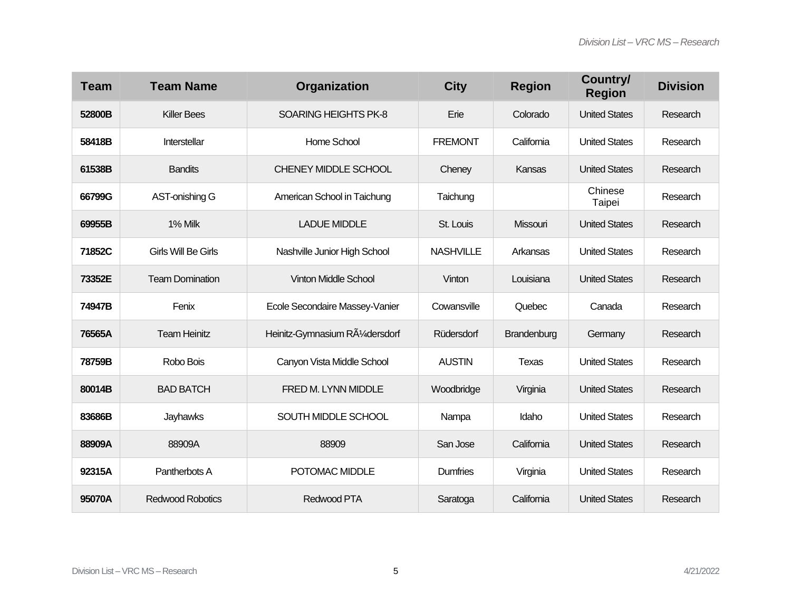| <b>Team</b> | <b>Team Name</b>           | Organization                     | <b>City</b>      | <b>Region</b> | Country/<br><b>Region</b> | <b>Division</b> |
|-------------|----------------------------|----------------------------------|------------------|---------------|---------------------------|-----------------|
| 52800B      | <b>Killer Bees</b>         | <b>SOARING HEIGHTS PK-8</b>      | Erie             | Colorado      | <b>United States</b>      | Research        |
| 58418B      | Interstellar               | Home School                      | <b>FREMONT</b>   | California    | <b>United States</b>      | Research        |
| 61538B      | <b>Bandits</b>             | <b>CHENEY MIDDLE SCHOOL</b>      | Cheney           | Kansas        | <b>United States</b>      | Research        |
| 66799G      | AST-onishing G             | American School in Taichung      | Taichung         |               | Chinese<br>Taipei         | Research        |
| 69955B      | 1% Milk                    | <b>LADUE MIDDLE</b>              | St. Louis        | Missouri      | <b>United States</b>      | Research        |
| 71852C      | <b>Girls Will Be Girls</b> | Nashville Junior High School     | <b>NASHVILLE</b> | Arkansas      | <b>United States</b>      | Research        |
| 73352E      | <b>Team Domination</b>     | <b>Vinton Middle School</b>      | Vinton           | Louisiana     | <b>United States</b>      | Research        |
| 74947B      | Fenix                      | Ecole Secondaire Massey-Vanier   | Cowansville      | Quebec        | Canada                    | Research        |
| 76565A      | <b>Team Heinitz</b>        | Heinitz-Gymnasium RA1/4 dersdorf | Rüdersdorf       | Brandenburg   | Germany                   | Research        |
| 78759B      | Robo Bois                  | Canyon Vista Middle School       | <b>AUSTIN</b>    | <b>Texas</b>  | <b>United States</b>      | Research        |
| 80014B      | <b>BAD BATCH</b>           | FRED M. LYNN MIDDLE              | Woodbridge       | Virginia      | <b>United States</b>      | Research        |
| 83686B      | Jayhawks                   | SOUTH MIDDLE SCHOOL              | Nampa            | Idaho         | <b>United States</b>      | Research        |
| 88909A      | 88909A                     | 88909                            | San Jose         | California    | <b>United States</b>      | Research        |
| 92315A      | Pantherbots A              | POTOMAC MIDDLE                   | <b>Dumfries</b>  | Virginia      | <b>United States</b>      | Research        |
| 95070A      | <b>Redwood Robotics</b>    | Redwood PTA                      | Saratoga         | California    | <b>United States</b>      | Research        |